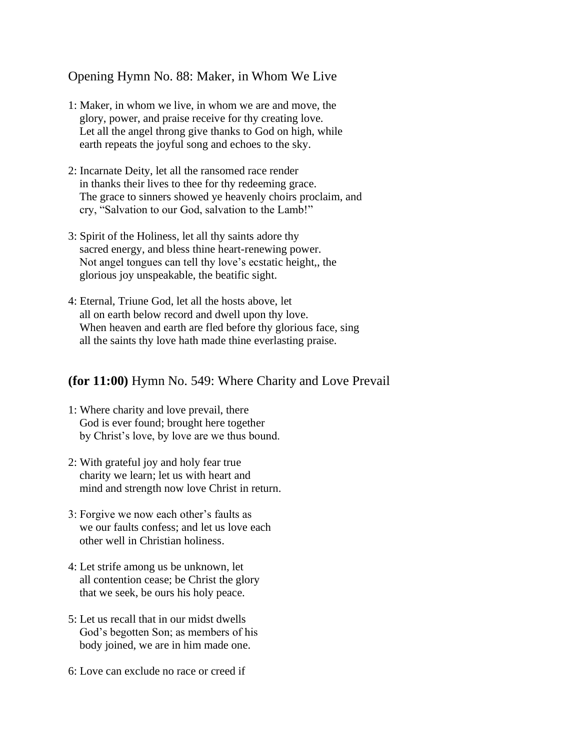Opening Hymn No. 88: Maker, in Whom We Live

- 1: Maker, in whom we live, in whom we are and move, the glory, power, and praise receive for thy creating love. Let all the angel throng give thanks to God on high, while earth repeats the joyful song and echoes to the sky.
- 2: Incarnate Deity, let all the ransomed race render in thanks their lives to thee for thy redeeming grace. The grace to sinners showed ye heavenly choirs proclaim, and cry, "Salvation to our God, salvation to the Lamb!"
- 3: Spirit of the Holiness, let all thy saints adore thy sacred energy, and bless thine heart-renewing power. Not angel tongues can tell thy love's ecstatic height,, the glorious joy unspeakable, the beatific sight.
- 4: Eternal, Triune God, let all the hosts above, let all on earth below record and dwell upon thy love. When heaven and earth are fled before thy glorious face, sing all the saints thy love hath made thine everlasting praise.

## **(for 11:00)** Hymn No. 549: Where Charity and Love Prevail

- 1: Where charity and love prevail, there God is ever found; brought here together by Christ's love, by love are we thus bound.
- 2: With grateful joy and holy fear true charity we learn; let us with heart and mind and strength now love Christ in return.
- 3: Forgive we now each other's faults as we our faults confess; and let us love each other well in Christian holiness.
- 4: Let strife among us be unknown, let all contention cease; be Christ the glory that we seek, be ours his holy peace.
- 5: Let us recall that in our midst dwells God's begotten Son; as members of his body joined, we are in him made one.
- 6: Love can exclude no race or creed if